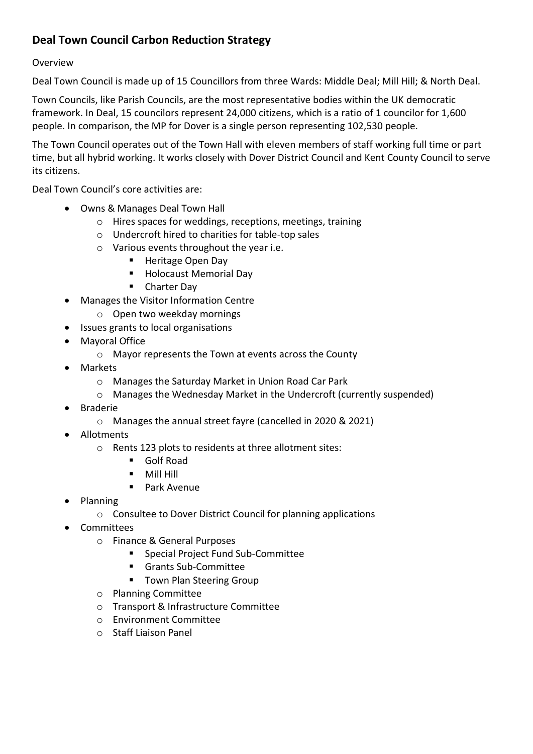# **Deal Town Council Carbon Reduction Strategy**

# Overview

Deal Town Council is made up of 15 Councillors from three Wards: Middle Deal; Mill Hill; & North Deal.

Town Councils, like Parish Councils, are the most representative bodies within the UK democratic framework. In Deal, 15 councilors represent 24,000 citizens, which is a ratio of 1 councilor for 1,600 people. In comparison, the MP for Dover is a single person representing 102,530 people.

The Town Council operates out of the Town Hall with eleven members of staff working full time or part time, but all hybrid working. It works closely with Dover District Council and Kent County Council to serve its citizens.

Deal Town Council's core activities are:

- Owns & Manages Deal Town Hall
	- o Hires spaces for weddings, receptions, meetings, training
	- o Undercroft hired to charities for table-top sales
	- o Various events throughout the year i.e.
		- Heritage Open Day
		- Holocaust Memorial Day
		- Charter Day
- Manages the Visitor Information Centre
	- o Open two weekday mornings
- Issues grants to local organisations
- Mayoral Office
	- o Mayor represents the Town at events across the County
- Markets
	- o Manages the Saturday Market in Union Road Car Park
	- o Manages the Wednesday Market in the Undercroft (currently suspended)
- Braderie
	- o Manages the annual street fayre (cancelled in 2020 & 2021)
- Allotments
	- o Rents 123 plots to residents at three allotment sites:
		- Golf Road
		- Mill Hill
		- Park Avenue
- Planning
	- o Consultee to Dover District Council for planning applications
- Committees
	- o Finance & General Purposes
		- Special Project Fund Sub-Committee
		- Grants Sub-Committee
		- Town Plan Steering Group
	- o Planning Committee
	- o Transport & Infrastructure Committee
	- o Environment Committee
	- o Staff Liaison Panel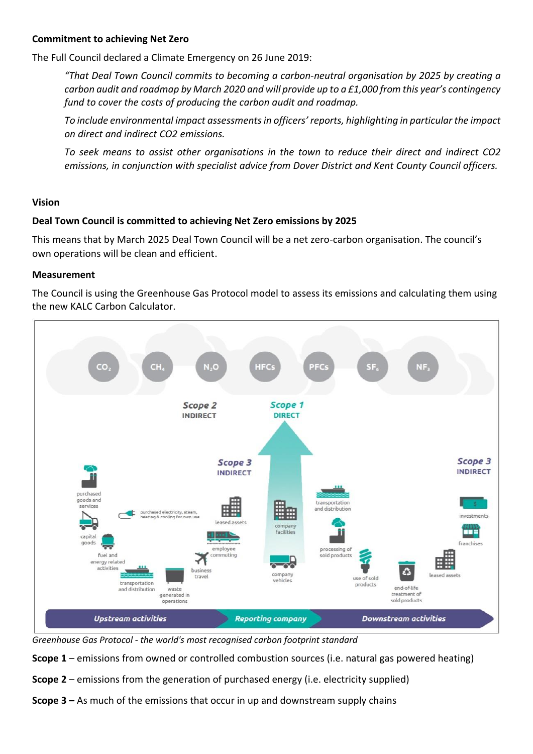#### **Commitment to achieving Net Zero**

The Full Council declared a Climate Emergency on 26 June 2019:

*"That Deal Town Council commits to becoming a carbon-neutral organisation by 2025 by creating a* carbon audit and roadmap by March 2020 and will provide up to a £1,000 from this year's contingency *fund to cover the costs of producing the carbon audit and roadmap.*

*To include environmental impact assessmentsin officers' reports, highlighting in particular the impact on direct and indirect CO2 emissions.*

*To seek means to assist other organisations in the town to reduce their direct and indirect CO2 emissions, in conjunction with specialist advice from Dover District and Kent County Council officers.*

#### **Vision**

#### **Deal Town Council is committed to achieving Net Zero emissions by 2025**

This means that by March 2025 Deal Town Council will be a net zero-carbon organisation. The council's own operations will be clean and efficient.

#### **Measurement**

The Council is using the Greenhouse Gas Protocol model to assess its emissions and calculating them using the new KALC Carbon Calculator.



*Greenhouse Gas Protocol - the world's most recognised carbon footprint standard*

**Scope 1** – emissions from owned or controlled combustion sources (i.e. natural gas powered heating)

**Scope 2** – emissions from the generation of purchased energy (i.e. electricity supplied)

**Scope 3 –** As much of the emissions that occur in up and downstream supply chains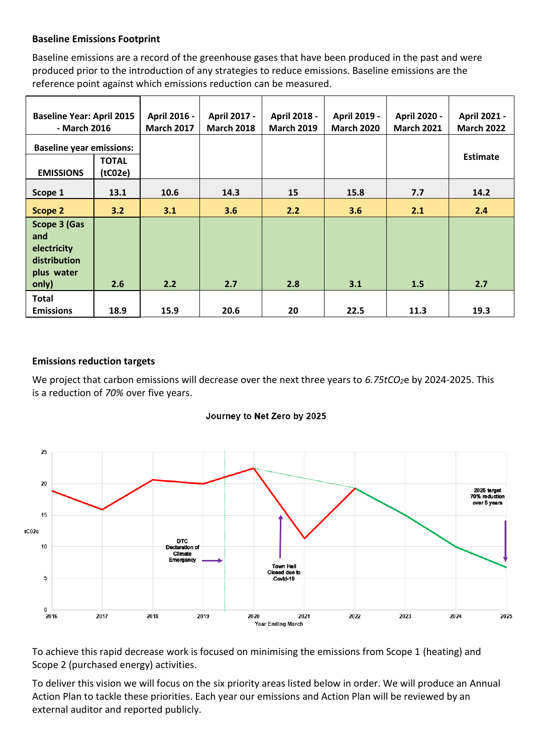#### **Baseline Emissions Footprint**

Baseline emissions are a record of the greenhouse gases that have been produced in the past and were produced prior to the introduction of any strategies to reduce emissions. Baseline emissions are the reference point against which emissions reduction can be measured.

| <b>Baseline Year: April 2015</b><br>- March 2016                                 |                         | April 2016 -<br><b>March 2017</b> | April 2017 -<br><b>March 2018</b> | <b>April 2018 -</b><br><b>March 2019</b> | April 2019 -<br><b>March 2020</b> | <b>April 2020 -</b><br><b>March 2021</b> | April 2021 -<br><b>March 2022</b> |
|----------------------------------------------------------------------------------|-------------------------|-----------------------------------|-----------------------------------|------------------------------------------|-----------------------------------|------------------------------------------|-----------------------------------|
| <b>Baseline year emissions:</b>                                                  |                         |                                   |                                   |                                          |                                   |                                          |                                   |
| <b>EMISSIONS</b>                                                                 | <b>TOTAL</b><br>(tCO2e) |                                   |                                   |                                          |                                   |                                          | <b>Estimate</b>                   |
| Scope 1                                                                          | 13.1                    | 10.6                              | 14.3                              | 15                                       | 15.8                              | 7.7                                      | 14.2                              |
| <b>Scope 2</b>                                                                   | 3.2                     | 3.1                               | 3.6                               | 2.2                                      | 3.6                               | 2.1                                      | 2.4                               |
| <b>Scope 3 (Gas</b><br>and<br>electricity<br>distribution<br>plus water<br>only) | 2.6                     | 2.2                               | 2.7                               | 2.8                                      | 3.1                               | 1.5                                      | 2.7                               |
| <b>Total</b><br><b>Emissions</b>                                                 | 18.9                    | 15.9                              | 20.6                              | 20                                       | 22.5                              | 11.3                                     | 19.3                              |

#### **Emissions reduction targets**

We project that carbon emissions will decrease over the next three years to *6.75tCO2*e by 2024-2025. This is a reduction of *70%* over five years.



#### Journey to Net Zero by 2025

To achieve this rapid decrease work is focused on minimising the emissions from Scope 1 (heating) and Scope 2 (purchased energy) activities.

To deliver this vision we will focus on the six priority areas listed below in order. We will produce an Annual Action Plan to tackle these priorities. Each year our emissions and Action Plan will be reviewed by an external auditor and reported publicly.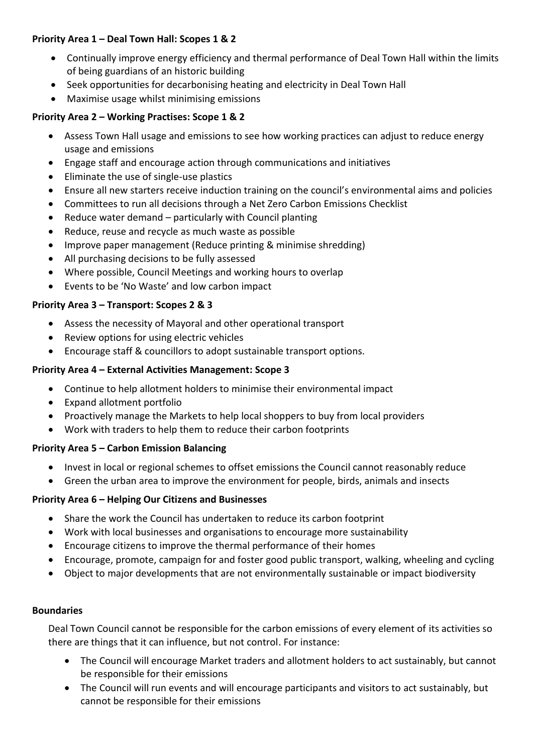# **Priority Area 1 – Deal Town Hall: Scopes 1 & 2**

- Continually improve energy efficiency and thermal performance of Deal Town Hall within the limits of being guardians of an historic building
- Seek opportunities for decarbonising heating and electricity in Deal Town Hall
- Maximise usage whilst minimising emissions

# **Priority Area 2 – Working Practises: Scope 1 & 2**

- Assess Town Hall usage and emissions to see how working practices can adjust to reduce energy usage and emissions
- Engage staff and encourage action through communications and initiatives
- Eliminate the use of single-use plastics
- Ensure all new starters receive induction training on the council's environmental aims and policies
- Committees to run all decisions through a Net Zero Carbon Emissions Checklist
- Reduce water demand particularly with Council planting
- Reduce, reuse and recycle as much waste as possible
- Improve paper management (Reduce printing & minimise shredding)
- All purchasing decisions to be fully assessed
- Where possible, Council Meetings and working hours to overlap
- Events to be 'No Waste' and low carbon impact

# **Priority Area 3 – Transport: Scopes 2 & 3**

- Assess the necessity of Mayoral and other operational transport
- Review options for using electric vehicles
- Encourage staff & councillors to adopt sustainable transport options.

### **Priority Area 4 – External Activities Management: Scope 3**

- Continue to help allotment holders to minimise their environmental impact
- Expand allotment portfolio
- Proactively manage the Markets to help local shoppers to buy from local providers
- Work with traders to help them to reduce their carbon footprints

# **Priority Area 5 – Carbon Emission Balancing**

- Invest in local or regional schemes to offset emissions the Council cannot reasonably reduce
- Green the urban area to improve the environment for people, birds, animals and insects

### **Priority Area 6 – Helping Our Citizens and Businesses**

- Share the work the Council has undertaken to reduce its carbon footprint
- Work with local businesses and organisations to encourage more sustainability
- Encourage citizens to improve the thermal performance of their homes
- Encourage, promote, campaign for and foster good public transport, walking, wheeling and cycling
- Object to major developments that are not environmentally sustainable or impact biodiversity

### **Boundaries**

Deal Town Council cannot be responsible for the carbon emissions of every element of its activities so there are things that it can influence, but not control. For instance:

- The Council will encourage Market traders and allotment holders to act sustainably, but cannot be responsible for their emissions
- The Council will run events and will encourage participants and visitors to act sustainably, but cannot be responsible for their emissions